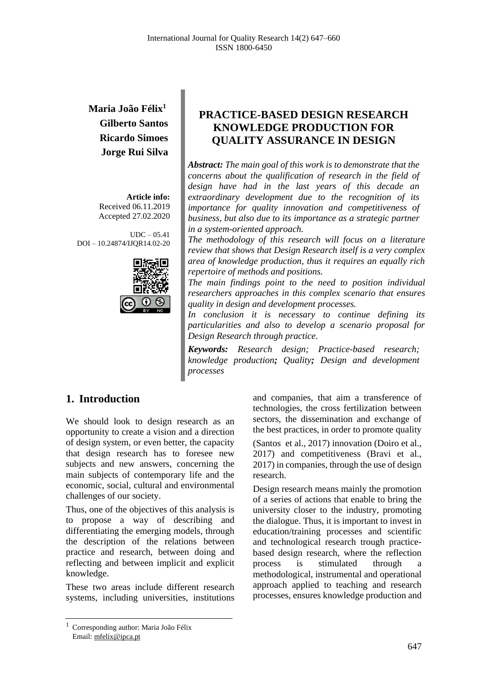# **Maria João Félix<sup>1</sup> Gilberto Santos Ricardo Simoes Jorge Rui Silva**

**Article info:** Received 06.11.2019 Accepted 27.02.2020

 $UDC - 05.41$ DOI – 10.24874/IJQR14.02-20



# **PRACTICE-BASED DESIGN RESEARCH KNOWLEDGE PRODUCTION FOR QUALITY ASSURANCE IN DESIGN**

*Abstract: The main goal of this work is to demonstrate that the concerns about the qualification of research in the field of design have had in the last years of this decade an extraordinary development due to the recognition of its importance for quality innovation and competitiveness of business, but also due to its importance as a strategic partner in a system-oriented approach.* 

*The methodology of this research will focus on a literature review that shows that Design Research itself is a very complex area of knowledge production, thus it requires an equally rich repertoire of methods and positions.*

*The main findings point to the need to position individual researchers approaches in this complex scenario that ensures quality in design and development processes.*

*In conclusion it is necessary to continue defining its particularities and also to develop a scenario proposal for Design Research through practice.*

*Keywords: Research design; Practice-based research; knowledge production; Quality; Design and development processes*

## **1. Introduction**

We should look to design research as an opportunity to create a vision and a direction of design system, or even better, the capacity that design research has to foresee new subjects and new answers, concerning the main subjects of contemporary life and the economic, social, cultural and environmental challenges of our society.

Thus, one of the objectives of this analysis is to propose a way of describing and differentiating the emerging models, through the description of the relations between practice and research, between doing and reflecting and between implicit and explicit knowledge.

These two areas include different research systems, including universities, institutions

and companies, that aim a transference of technologies, the cross fertilization between sectors, the dissemination and exchange of the best practices, in order to promote quality (Santos et al., 2017) innovation (Doiro et al., 2017) and competitiveness (Bravi et al., 2017) in companies, through the use of design research.

Design research means mainly the promotion of a series of actions that enable to bring the university closer to the industry, promoting the dialogue. Thus, it is important to invest in education/training processes and scientific and technological research trough practicebased design research, where the reflection process is stimulated through methodological, instrumental and operational approach applied to teaching and research processes, ensures knowledge production and

<sup>1</sup> Corresponding author: Maria João Félix Email: mfelix@ipca.pt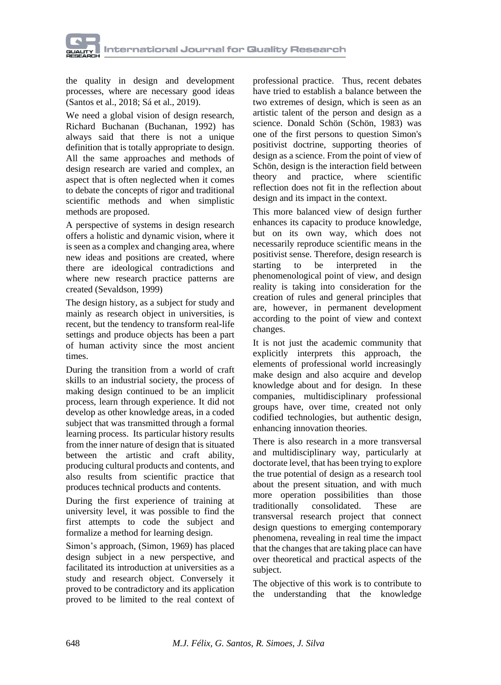

the quality in design and development processes, where are necessary good ideas (Santos et al., 2018; Sá et al., 2019).

We need a global vision of design research, Richard Buchanan (Buchanan, 1992) has always said that there is not a unique definition that is totally appropriate to design. All the same approaches and methods of design research are varied and complex, an aspect that is often neglected when it comes to debate the concepts of rigor and traditional scientific methods and when simplistic methods are proposed.

A perspective of systems in design research offers a holistic and dynamic vision, where it is seen as a complex and changing area, where new ideas and positions are created, where there are ideological contradictions and where new research practice patterns are created (Sevaldson, 1999)

The design history, as a subject for study and mainly as research object in universities, is recent, but the tendency to transform real-life settings and produce objects has been a part of human activity since the most ancient times.

During the transition from a world of craft skills to an industrial society, the process of making design continued to be an implicit process, learn through experience. It did not develop as other knowledge areas, in a coded subject that was transmitted through a formal learning process. Its particular history results from the inner nature of design that is situated between the artistic and craft ability, producing cultural products and contents, and also results from scientific practice that produces technical products and contents.

During the first experience of training at university level, it was possible to find the first attempts to code the subject and formalize a method for learning design.

Simon's approach, (Simon, 1969) has placed design subject in a new perspective, and facilitated its introduction at universities as a study and research object. Conversely it proved to be contradictory and its application proved to be limited to the real context of

professional practice. Thus, recent debates have tried to establish a balance between the two extremes of design, which is seen as an artistic talent of the person and design as a science. Donald Schön (Schön, 1983) was one of the first persons to question Simon's positivist doctrine, supporting theories of design as a science. From the point of view of Schön, design is the interaction field between theory and practice, where scientific reflection does not fit in the reflection about design and its impact in the context.

This more balanced view of design further enhances its capacity to produce knowledge, but on its own way, which does not necessarily reproduce scientific means in the positivist sense. Therefore, design research is starting to be interpreted in the phenomenological point of view, and design reality is taking into consideration for the creation of rules and general principles that are, however, in permanent development according to the point of view and context changes.

It is not just the academic community that explicitly interprets this approach, the elements of professional world increasingly make design and also acquire and develop knowledge about and for design. In these companies, multidisciplinary professional groups have, over time, created not only codified technologies, but authentic design, enhancing innovation theories.

There is also research in a more transversal and multidisciplinary way, particularly at doctorate level, that has been trying to explore the true potential of design as a research tool about the present situation, and with much more operation possibilities than those traditionally consolidated. These are transversal research project that connect design questions to emerging contemporary phenomena, revealing in real time the impact that the changes that are taking place can have over theoretical and practical aspects of the subject.

The objective of this work is to contribute to the understanding that the knowledge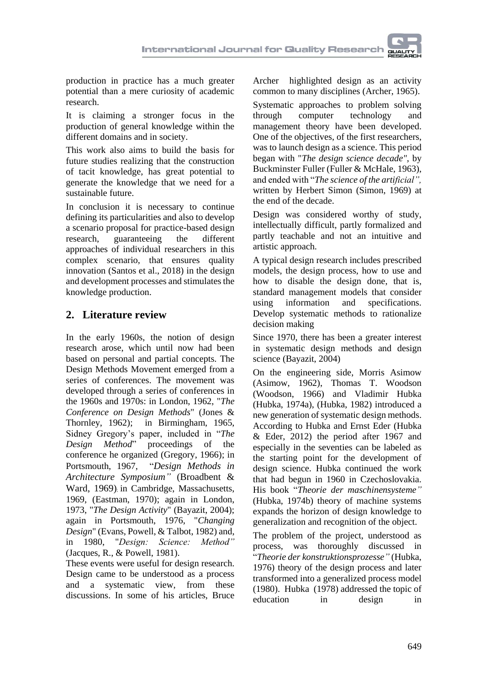production in practice has a much greater potential than a mere curiosity of academic research.

It is claiming a stronger focus in the production of general knowledge within the different domains and in society.

This work also aims to build the basis for future studies realizing that the construction of tacit knowledge, has great potential to generate the knowledge that we need for a sustainable future.

In conclusion it is necessary to continue defining its particularities and also to develop a scenario proposal for practice-based design research, guaranteeing the different approaches of individual researchers in this complex scenario, that ensures quality innovation (Santos et al., 2018) in the design and development processes and stimulates the knowledge production.

## **2. Literature review**

In the early 1960s, the notion of design research arose, which until now had been based on personal and partial concepts. The Design Methods Movement emerged from a series of conferences. The movement was developed through a series of conferences in the 1960s and 1970s: in London, 1962, "*The Conference on Design Methods*" (Jones & Thornley, 1962); in Birmingham, 1965, Sidney Gregory's paper, included in "*The Design Method*" proceedings of the conference he organized (Gregory, 1966); in Portsmouth, 1967, "*Design Methods in Architecture Symposium"* (Broadbent & Ward, 1969); in Cambridge, Massachusetts, 1969, (Eastman, 1970); again in London, 1973, "*The Design Activity*" (Bayazit, 2004); again in Portsmouth, 1976, "*Changing Design*" (Evans, Powell, & Talbot, 1982) and, in 1980, "*Design: Science: Method"* (Jacques, R., & Powell, 1981).

These events were useful for design research. Design came to be understood as a process and a systematic view, from these discussions. In some of his articles, Bruce

Archer highlighted design as an activity common to many disciplines (Archer, 1965).

Systematic approaches to problem solving through computer technology and management theory have been developed. One of the objectives, of the first researchers, was to launch design as a science. This period began with "*The design science decade",* by Buckminster Fuller (Fuller & McHale, 1963), and ended with "*The science of the artificial",* written by Herbert Simon (Simon, 1969) at the end of the decade.

Design was considered worthy of study, intellectually difficult, partly formalized and partly teachable and not an intuitive and artistic approach.

A typical design research includes prescribed models, the design process, how to use and how to disable the design done, that is, standard management models that consider using information and specifications. Develop systematic methods to rationalize decision making

Since 1970, there has been a greater interest in systematic design methods and design science (Bayazit, 2004)

On the engineering side, Morris Asimow (Asimow, 1962), Thomas T. Woodson (Woodson, 1966) and Vladimir Hubka (Hubka, 1974a), (Hubka, 1982) introduced a new generation of systematic design methods. According to Hubka and Ernst Eder (Hubka & Eder, 2012) the period after 1967 and especially in the seventies can be labeled as the starting point for the development of design science. Hubka continued the work that had begun in 1960 in Czechoslovakia. His book "*Theorie der maschinensysteme"* (Hubka, 1974b) theory of machine systems expands the horizon of design knowledge to generalization and recognition of the object.

The problem of the project, understood as process, was thoroughly discussed in "*Theorie der konstruktionsprozesse"* (Hubka, 1976) theory of the design process and later transformed into a generalized process model (1980). Hubka (1978) addressed the topic of education in design in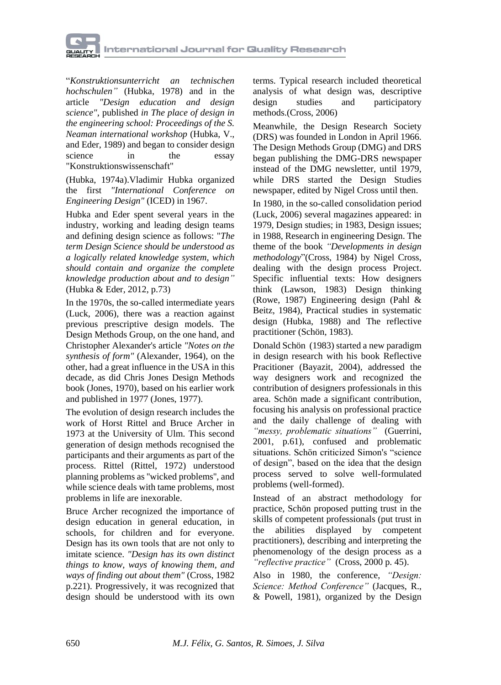"*Konstruktionsunterricht an technischen hochschulen"* (Hubka, 1978) and in the article *"Design education and design science"*, published *in The place of design in the engineering school: Proceedings of the S. Neaman international workshop* (Hubka, V., and Eder, 1989) and began to consider design science in the essay "Konstruktionswissenschaft"

(Hubka, 1974a).Vladimir Hubka organized the first *"International Conference on Engineering Design"* (ICED) in 1967.

Hubka and Eder spent several years in the industry, working and leading design teams and defining design science as follows: "*The term Design Science should be understood as a logically related knowledge system, which should contain and organize the complete knowledge production about and to design"* (Hubka & Eder, 2012, p.73)

In the 1970s, the so-called intermediate years (Luck, 2006), there was a reaction against previous prescriptive design models. The Design Methods Group, on the one hand, and Christopher Alexander's article *"Notes on the synthesis of form"* (Alexander, 1964)*,* on the other, had a great influence in the USA in this decade, as did Chris Jones Design Methods book (Jones, 1970), based on his earlier work and published in 1977 (Jones, 1977).

The evolution of design research includes the work of Horst Rittel and Bruce Archer in 1973 at the University of Ulm. This second generation of design methods recognised the participants and their arguments as part of the process. Rittel (Rittel, 1972) understood planning problems as ''wicked problems'', and while science deals with tame problems, most problems in life are inexorable.

Bruce Archer recognized the importance of design education in general education, in schools, for children and for everyone. Design has its own tools that are not only to imitate science. *"Design has its own distinct things to know, ways of knowing them, and ways of finding out about them"* (Cross, 1982 p.221). Progressively, it was recognized that design should be understood with its own

terms. Typical research included theoretical analysis of what design was, descriptive design studies and participatory methods.(Cross, 2006)

Meanwhile, the Design Research Society (DRS) was founded in London in April 1966. The Design Methods Group (DMG) and DRS began publishing the DMG-DRS newspaper instead of the DMG newsletter, until 1979, while DRS started the Design Studies newspaper, edited by Nigel Cross until then.

In 1980, in the so-called consolidation period (Luck, 2006) several magazines appeared: in 1979, Design studies; in 1983, Design issues; in 1988, Research in engineering Design. The theme of the book *"Developments in design methodology*"(Cross, 1984) by Nigel Cross, dealing with the design process Project. Specific influential texts: How designers think (Lawson, 1983) Design thinking (Rowe, 1987) Engineering design (Pahl & Beitz, 1984), Practical studies in systematic design (Hubka, 1988) and The reflective practitioner (Schön, 1983).

Donald Schön (1983) started a new paradigm in design research with his book Reflective Pracitioner (Bayazit, 2004), addressed the way designers work and recognized the contribution of designers professionals in this area. Schön made a significant contribution, focusing his analysis on professional practice and the daily challenge of dealing with *"messy, problematic situations"* (Guerrini, 2001, p.61), confused and problematic situations. Schön criticized Simon's "science of design", based on the idea that the design process served to solve well-formulated problems (well-formed).

Instead of an abstract methodology for practice, Schön proposed putting trust in the skills of competent professionals (put trust in the abilities displayed by competent practitioners), describing and interpreting the phenomenology of the design process as a *"reflective practice"* (Cross, 2000 p. 45).

Also in 1980, the conference, *"Design: Science: Method Conference"* (Jacques, R., & Powell, 1981), organized by the Design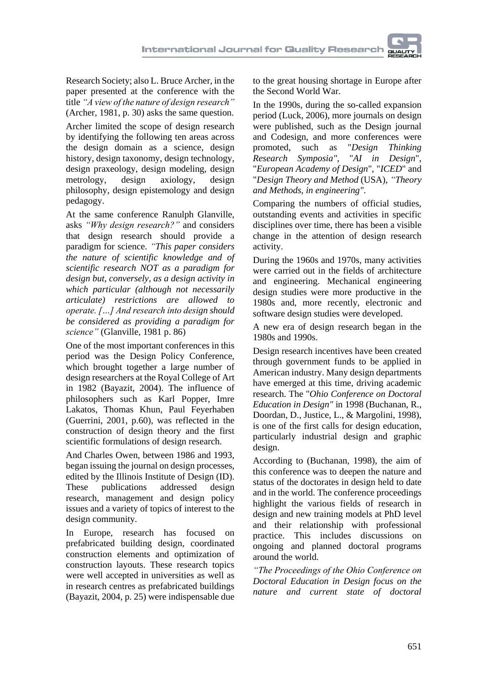Research Society; also L. Bruce Archer, in the paper presented at the conference with the title *"A view of the nature of design research"* (Archer, 1981, p. 30) asks the same question.

Archer limited the scope of design research by identifying the following ten areas across the design domain as a science, design history, design taxonomy, design technology, design praxeology, design modeling, design metrology, design axiology, design philosophy, design epistemology and design pedagogy.

At the same conference Ranulph Glanville, asks *"Why design research?"* and considers that design research should provide a paradigm for science. *"This paper considers the nature of scientific knowledge and of scientific research NOT as a paradigm for design but, conversely, as a design activity in which particular (although not necessarily articulate) restrictions are allowed to operate. […] And research into design should be considered as providing a paradigm for science"* (Glanville, 1981 p. 86)

One of the most important conferences in this period was the Design Policy Conference, which brought together a large number of design researchers at the Royal College of Art in 1982 (Bayazit, 2004). The influence of philosophers such as Karl Popper, Imre Lakatos, Thomas Khun, Paul Feyerhaben (Guerrini, 2001, p.60), was reflected in the construction of design theory and the first scientific formulations of design research.

And Charles Owen, between 1986 and 1993, began issuing the journal on design processes, edited by the Illinois Institute of Design (ID). These publications addressed design research, management and design policy issues and a variety of topics of interest to the design community.

In Europe, research has focused on prefabricated building design, coordinated construction elements and optimization of construction layouts. These research topics were well accepted in universities as well as in research centres as prefabricated buildings (Bayazit, 2004, p. 25) were indispensable due

to the great housing shortage in Europe after the Second World War.

In the 1990s, during the so-called expansion period (Luck, 2006), more journals on design were published, such as the Design journal and Codesign, and more conferences were promoted, such as "*Design Thinking Research Symposia"*, "*AI in Design*", "*European Academy of Design*", "*ICED*" and "*Design Theory and Method* (USA), *"Theory and Methods, in engineering"*.

Comparing the numbers of official studies, outstanding events and activities in specific disciplines over time, there has been a visible change in the attention of design research activity.

During the 1960s and 1970s, many activities were carried out in the fields of architecture and engineering. Mechanical engineering design studies were more productive in the 1980s and, more recently, electronic and software design studies were developed.

A new era of design research began in the 1980s and 1990s.

Design research incentives have been created through government funds to be applied in American industry. Many design departments have emerged at this time, driving academic research. The "*Ohio Conference on Doctoral Education in Design"* in 1998 (Buchanan, R., Doordan, D., Justice, L., & Margolini, 1998), is one of the first calls for design education, particularly industrial design and graphic design.

According to (Buchanan, 1998), the aim of this conference was to deepen the nature and status of the doctorates in design held to date and in the world. The conference proceedings highlight the various fields of research in design and new training models at PhD level and their relationship with professional practice. This includes discussions on ongoing and planned doctoral programs around the world.

*"The Proceedings of the Ohio Conference on Doctoral Education in Design focus on the nature and current state of doctoral*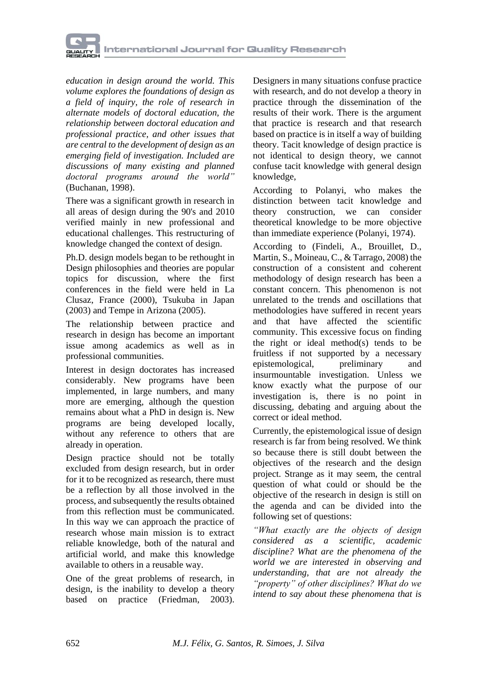*education in design around the world. This volume explores the foundations of design as a field of inquiry, the role of research in alternate models of doctoral education, the relationship between doctoral education and professional practice, and other issues that are central to the development of design as an emerging field of investigation. Included are discussions of many existing and planned doctoral programs around the world"* (Buchanan, 1998).

There was a significant growth in research in all areas of design during the 90's and 2010 verified mainly in new professional and educational challenges. This restructuring of knowledge changed the context of design.

Ph.D. design models began to be rethought in Design philosophies and theories are popular topics for discussion, where the first conferences in the field were held in La Clusaz, France (2000), Tsukuba in Japan (2003) and Tempe in Arizona (2005).

The relationship between practice and research in design has become an important issue among academics as well as in professional communities.

Interest in design doctorates has increased considerably. New programs have been implemented, in large numbers, and many more are emerging, although the question remains about what a PhD in design is. New programs are being developed locally, without any reference to others that are already in operation.

Design practice should not be totally excluded from design research, but in order for it to be recognized as research, there must be a reflection by all those involved in the process, and subsequently the results obtained from this reflection must be communicated. In this way we can approach the practice of research whose main mission is to extract reliable knowledge, both of the natural and artificial world, and make this knowledge available to others in a reusable way.

One of the great problems of research, in design, is the inability to develop a theory based on practice (Friedman, 2003). Designers in many situations confuse practice with research, and do not develop a theory in practice through the dissemination of the results of their work. There is the argument that practice is research and that research based on practice is in itself a way of building theory. Tacit knowledge of design practice is not identical to design theory, we cannot confuse tacit knowledge with general design knowledge,

According to Polanyi, who makes the distinction between tacit knowledge and theory construction, we can consider theoretical knowledge to be more objective than immediate experience (Polanyi, 1974).

According to (Findeli, A., Brouillet, D., Martin, S., Moineau, C., & Tarrago, 2008) the construction of a consistent and coherent methodology of design research has been a constant concern. This phenomenon is not unrelated to the trends and oscillations that methodologies have suffered in recent years and that have affected the scientific community. This excessive focus on finding the right or ideal method(s) tends to be fruitless if not supported by a necessary epistemological, preliminary and insurmountable investigation. Unless we know exactly what the purpose of our investigation is, there is no point in discussing, debating and arguing about the correct or ideal method.

Currently, the epistemological issue of design research is far from being resolved. We think so because there is still doubt between the objectives of the research and the design project. Strange as it may seem, the central question of what could or should be the objective of the research in design is still on the agenda and can be divided into the following set of questions:

*"What exactly are the objects of design considered as a scientific, academic discipline? What are the phenomena of the world we are interested in observing and understanding, that are not already the "property" of other disciplines? What do we intend to say about these phenomena that is*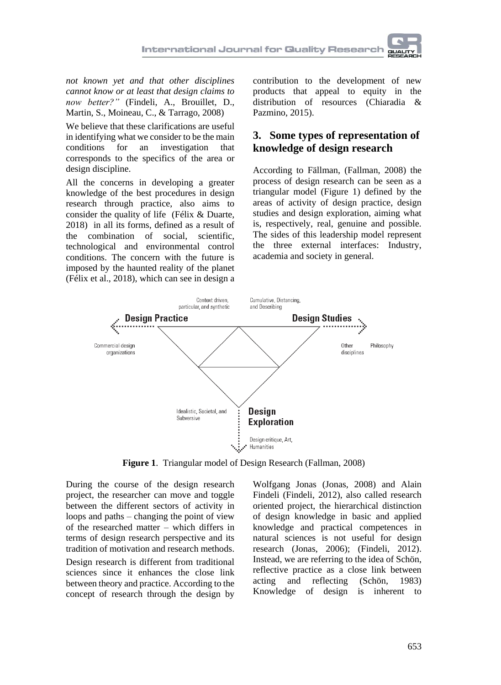

*not known yet and that other disciplines cannot know or at least that design claims to now better?"* (Findeli, A., Brouillet, D., Martin, S., Moineau, C., & Tarrago, 2008)

We believe that these clarifications are useful in identifying what we consider to be the main conditions for an investigation that corresponds to the specifics of the area or design discipline.

All the concerns in developing a greater knowledge of the best procedures in design research through practice, also aims to consider the quality of life (Félix & Duarte, 2018) in all its forms, defined as a result of the combination of social, scientific, technological and environmental control conditions. The concern with the future is imposed by the haunted reality of the planet (Félix et al., 2018), which can see in design a contribution to the development of new products that appeal to equity in the distribution of resources (Chiaradia & Pazmino, 2015).

#### **3. Some types of representation of knowledge of design research**

According to Fällman, (Fallman, 2008) the process of design research can be seen as a triangular model (Figure 1) defined by the areas of activity of design practice, design studies and design exploration, aiming what is, respectively, real, genuine and possible. The sides of this leadership model represent the three external interfaces: Industry, academia and society in general.



**Figure 1**. Triangular model of Design Research (Fallman, 2008)

During the course of the design research project, the researcher can move and toggle between the different sectors of activity in loops and paths – changing the point of view of the researched matter – which differs in terms of design research perspective and its tradition of motivation and research methods.

Design research is different from traditional sciences since it enhances the close link between theory and practice. According to the concept of research through the design by

Wolfgang Jonas (Jonas, 2008) and Alain Findeli (Findeli, 2012), also called research oriented project, the hierarchical distinction of design knowledge in basic and applied knowledge and practical competences in natural sciences is not useful for design research (Jonas, 2006); (Findeli, 2012). Instead, we are referring to the idea of Schön, reflective practice as a close link between acting and reflecting (Schön, 1983) Knowledge of design is inherent to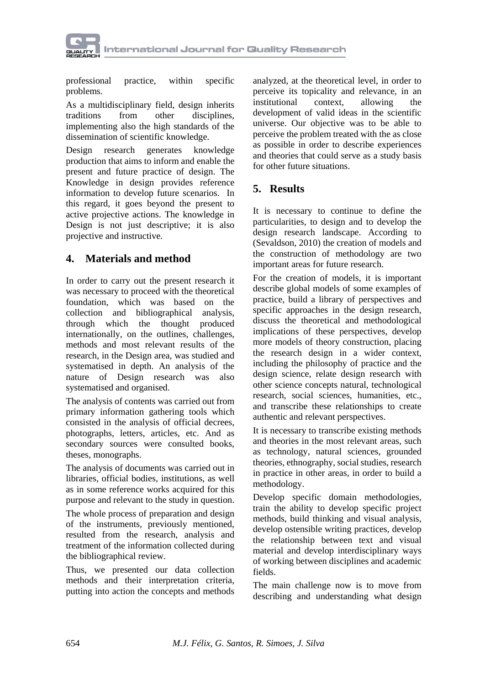

professional practice, within specific problems.

As a multidisciplinary field, design inherits traditions from other disciplines, implementing also the high standards of the dissemination of scientific knowledge.

Design research generates knowledge production that aims to inform and enable the present and future practice of design. The Knowledge in design provides reference information to develop future scenarios. In this regard, it goes beyond the present to active projective actions. The knowledge in Design is not just descriptive; it is also projective and instructive.

## **4. Materials and method**

In order to carry out the present research it was necessary to proceed with the theoretical foundation, which was based on the collection and bibliographical analysis, through which the thought produced internationally, on the outlines, challenges, methods and most relevant results of the research, in the Design area, was studied and systematised in depth. An analysis of the nature of Design research was also systematised and organised.

The analysis of contents was carried out from primary information gathering tools which consisted in the analysis of official decrees, photographs, letters, articles, etc. And as secondary sources were consulted books, theses, monographs.

The analysis of documents was carried out in libraries, official bodies, institutions, as well as in some reference works acquired for this purpose and relevant to the study in question.

The whole process of preparation and design of the instruments, previously mentioned, resulted from the research, analysis and treatment of the information collected during the bibliographical review.

Thus, we presented our data collection methods and their interpretation criteria, putting into action the concepts and methods

analyzed, at the theoretical level, in order to perceive its topicality and relevance, in an institutional context, allowing the development of valid ideas in the scientific universe. Our objective was to be able to perceive the problem treated with the as close as possible in order to describe experiences and theories that could serve as a study basis for other future situations.

## **5. Results**

It is necessary to continue to define the particularities, to design and to develop the design research landscape. According to (Sevaldson, 2010) the creation of models and the construction of methodology are two important areas for future research.

For the creation of models, it is important describe global models of some examples of practice, build a library of perspectives and specific approaches in the design research, discuss the theoretical and methodological implications of these perspectives, develop more models of theory construction, placing the research design in a wider context, including the philosophy of practice and the design science, relate design research with other science concepts natural, technological research, social sciences, humanities, etc., and transcribe these relationships to create authentic and relevant perspectives.

It is necessary to transcribe existing methods and theories in the most relevant areas, such as technology, natural sciences, grounded theories, ethnography, social studies, research in practice in other areas, in order to build a methodology.

Develop specific domain methodologies, train the ability to develop specific project methods, build thinking and visual analysis, develop ostensible writing practices, develop the relationship between text and visual material and develop interdisciplinary ways of working between disciplines and academic fields.

The main challenge now is to move from describing and understanding what design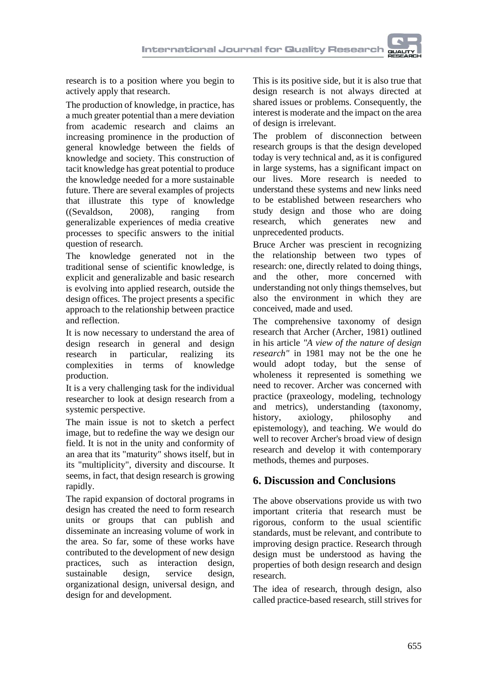International Journal for Quality Research

research is to a position where you begin to actively apply that research.

The production of knowledge, in practice, has a much greater potential than a mere deviation from academic research and claims an increasing prominence in the production of general knowledge between the fields of knowledge and society. This construction of tacit knowledge has great potential to produce the knowledge needed for a more sustainable future. There are several examples of projects that illustrate this type of knowledge ((Sevaldson, 2008), ranging from generalizable experiences of media creative processes to specific answers to the initial question of research.

The knowledge generated not in the traditional sense of scientific knowledge, is explicit and generalizable and basic research is evolving into applied research, outside the design offices. The project presents a specific approach to the relationship between practice and reflection.

It is now necessary to understand the area of design research in general and design research in particular, realizing its complexities in terms of knowledge production.

It is a very challenging task for the individual researcher to look at design research from a systemic perspective.

The main issue is not to sketch a perfect image, but to redefine the way we design our field. It is not in the unity and conformity of an area that its "maturity" shows itself, but in its "multiplicity", diversity and discourse. It seems, in fact, that design research is growing rapidly.

The rapid expansion of doctoral programs in design has created the need to form research units or groups that can publish and disseminate an increasing volume of work in the area. So far, some of these works have contributed to the development of new design practices, such as interaction design, sustainable design, service design, organizational design, universal design, and design for and development.

This is its positive side, but it is also true that design research is not always directed at shared issues or problems. Consequently, the interest is moderate and the impact on the area of design is irrelevant.

The problem of disconnection between research groups is that the design developed today is very technical and, as it is configured in large systems, has a significant impact on our lives. More research is needed to understand these systems and new links need to be established between researchers who study design and those who are doing research, which generates new and unprecedented products.

Bruce Archer was prescient in recognizing the relationship between two types of research: one, directly related to doing things, and the other, more concerned with understanding not only things themselves, but also the environment in which they are conceived, made and used.

The comprehensive taxonomy of design research that Archer (Archer, 1981) outlined in his article *"A view of the nature of design research"* in 1981 may not be the one he would adopt today, but the sense of wholeness it represented is something we need to recover. Archer was concerned with practice (praxeology, modeling, technology and metrics), understanding (taxonomy, history, axiology, philosophy and epistemology), and teaching. We would do well to recover Archer's broad view of design research and develop it with contemporary methods, themes and purposes.

## **6. Discussion and Conclusions**

The above observations provide us with two important criteria that research must be rigorous, conform to the usual scientific standards, must be relevant, and contribute to improving design practice. Research through design must be understood as having the properties of both design research and design research.

The idea of research, through design, also called practice-based research, still strives for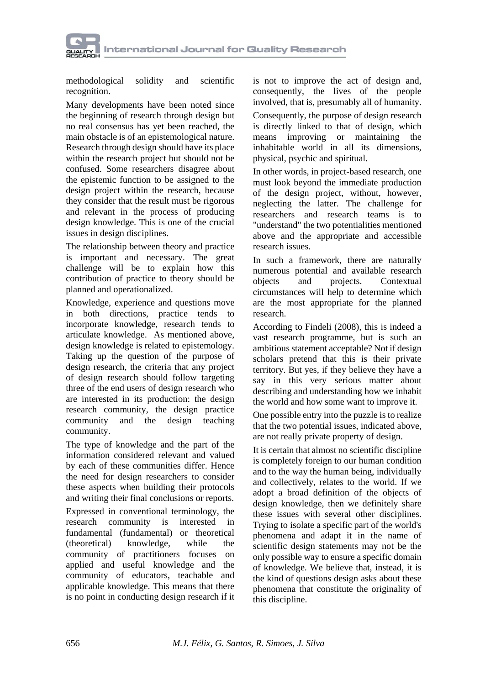methodological solidity and scientific recognition.

Many developments have been noted since the beginning of research through design but no real consensus has yet been reached, the main obstacle is of an epistemological nature. Research through design should have its place within the research project but should not be confused. Some researchers disagree about the epistemic function to be assigned to the design project within the research, because they consider that the result must be rigorous and relevant in the process of producing design knowledge. This is one of the crucial issues in design disciplines.

The relationship between theory and practice is important and necessary. The great challenge will be to explain how this contribution of practice to theory should be planned and operationalized.

Knowledge, experience and questions move in both directions, practice tends to incorporate knowledge, research tends to articulate knowledge. As mentioned above, design knowledge is related to epistemology. Taking up the question of the purpose of design research, the criteria that any project of design research should follow targeting three of the end users of design research who are interested in its production: the design research community, the design practice community and the design teaching community.

The type of knowledge and the part of the information considered relevant and valued by each of these communities differ. Hence the need for design researchers to consider these aspects when building their protocols and writing their final conclusions or reports.

Expressed in conventional terminology, the research community is interested in fundamental (fundamental) or theoretical (theoretical) knowledge, while the community of practitioners focuses on applied and useful knowledge and the community of educators, teachable and applicable knowledge. This means that there is no point in conducting design research if it

is not to improve the act of design and, consequently, the lives of the people involved, that is, presumably all of humanity. Consequently, the purpose of design research is directly linked to that of design, which means improving or maintaining the inhabitable world in all its dimensions, physical, psychic and spiritual.

In other words, in project-based research, one must look beyond the immediate production of the design project, without, however, neglecting the latter. The challenge for researchers and research teams is to "understand" the two potentialities mentioned above and the appropriate and accessible research issues.

In such a framework, there are naturally numerous potential and available research objects and projects. Contextual circumstances will help to determine which are the most appropriate for the planned research.

According to Findeli (2008), this is indeed a vast research programme, but is such an ambitious statement acceptable? Not if design scholars pretend that this is their private territory. But yes, if they believe they have a say in this very serious matter about describing and understanding how we inhabit the world and how some want to improve it.

One possible entry into the puzzle is to realize that the two potential issues, indicated above, are not really private property of design.

It is certain that almost no scientific discipline is completely foreign to our human condition and to the way the human being, individually and collectively, relates to the world. If we adopt a broad definition of the objects of design knowledge, then we definitely share these issues with several other disciplines. Trying to isolate a specific part of the world's phenomena and adapt it in the name of scientific design statements may not be the only possible way to ensure a specific domain of knowledge. We believe that, instead, it is the kind of questions design asks about these phenomena that constitute the originality of this discipline.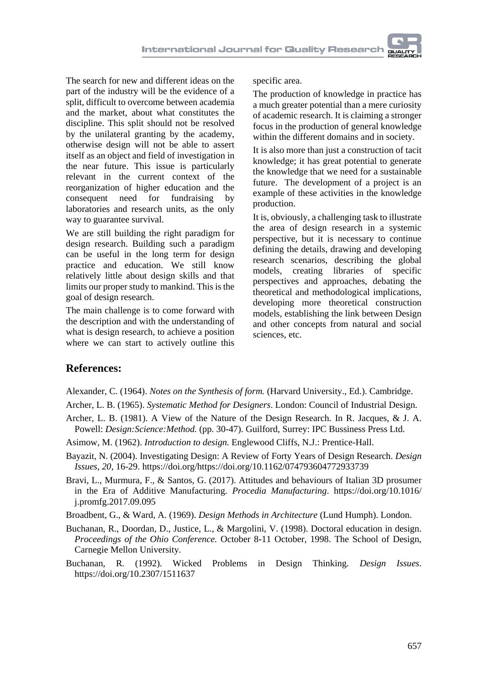The search for new and different ideas on the part of the industry will be the evidence of a split, difficult to overcome between academia and the market, about what constitutes the discipline. This split should not be resolved by the unilateral granting by the academy, otherwise design will not be able to assert itself as an object and field of investigation in the near future. This issue is particularly relevant in the current context of the reorganization of higher education and the consequent need for fundraising by laboratories and research units, as the only way to guarantee survival.

We are still building the right paradigm for design research. Building such a paradigm can be useful in the long term for design practice and education. We still know relatively little about design skills and that limits our proper study to mankind. This is the goal of design research.

The main challenge is to come forward with the description and with the understanding of what is design research, to achieve a position where we can start to actively outline this

specific area.

The production of knowledge in practice has a much greater potential than a mere curiosity of academic research. It is claiming a stronger focus in the production of general knowledge within the different domains and in society.

It is also more than just a construction of tacit knowledge; it has great potential to generate the knowledge that we need for a sustainable future. The development of a project is an example of these activities in the knowledge production.

It is, obviously, a challenging task to illustrate the area of design research in a systemic perspective, but it is necessary to continue defining the details, drawing and developing research scenarios, describing the global models, creating libraries of specific perspectives and approaches, debating the theoretical and methodological implications, developing more theoretical construction models, establishing the link between Design and other concepts from natural and social sciences, etc.

## **References:**

Alexander, C. (1964). *Notes on the Synthesis of form.* (Harvard University., Ed.). Cambridge.

Archer, L. B. (1965). *Systematic Method for Designers*. London: Council of Industrial Design.

- Archer, L. B. (1981). A View of the Nature of the Design Research. In R. Jacques, & J. A. Powell: *Design:Science:Method.* (pp. 30-47). Guilford, Surrey: IPC Bussiness Press Ltd.
- Asimow, M. (1962). *Introduction to design.* Englewood Cliffs, N.J.: Prentice-Hall.
- Bayazit, N. (2004). Investigating Design: A Review of Forty Years of Design Research. *Design Issues*, *20*, 16-29. https://doi.org/https://doi.org/10.1162/074793604772933739
- Bravi, L., Murmura, F., & Santos, G. (2017). Attitudes and behaviours of Italian 3D prosumer in the Era of Additive Manufacturing. *Procedia Manufacturing*. https://doi.org/10.1016/ j.promfg.2017.09.095

Broadbent, G., & Ward, A. (1969). *Design Methods in Architecture* (Lund Humph). London.

- Buchanan, R., Doordan, D., Justice, L., & Margolini, V. (1998). Doctoral education in design. *Proceedings of the Ohio Conference.* October 8-11 October, 1998. The School of Design, Carnegie Mellon University.
- Buchanan, R. (1992). Wicked Problems in Design Thinking. *Design Issues*. https://doi.org/10.2307/1511637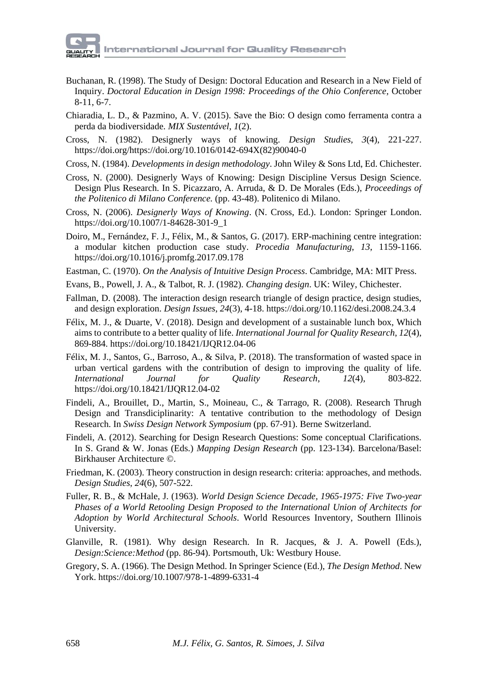- Buchanan, R. (1998). The Study of Design: Doctoral Education and Research in a New Field of Inquiry. *Doctoral Education in Design 1998: Proceedings of the Ohio Conference,* October 8-11, 6-7.
- Chiaradia, L. D., & Pazmino, A. V. (2015). Save the Bio: O design como ferramenta contra a perda da biodiversidade. *MIX Sustentável*, *1*(2).
- Cross, N. (1982). Designerly ways of knowing. *Design Studies*, *3*(4), 221-227. https://doi.org/https://doi.org/10.1016/0142-694X(82)90040-0
- Cross, N. (1984). *Developments in design methodology*. John Wiley & Sons Ltd, Ed. Chichester.
- Cross, N. (2000). Designerly Ways of Knowing: Design Discipline Versus Design Science. Design Plus Research. In S. Picazzaro, A. Arruda, & D. De Morales (Eds.), *Proceedings of the Politenico di Milano Conference.* (pp. 43-48). Politenico di Milano.
- Cross, N. (2006). *Designerly Ways of Knowing*. (N. Cross, Ed.). London: Springer London. https://doi.org/10.1007/1-84628-301-9\_1
- Doiro, M., Fernández, F. J., Félix, M., & Santos, G. (2017). ERP-machining centre integration: a modular kitchen production case study. *Procedia Manufacturing*, *13*, 1159-1166. https://doi.org/10.1016/j.promfg.2017.09.178
- Eastman, C. (1970). *On the Analysis of Intuitive Design Process*. Cambridge, MA: MIT Press.
- Evans, B., Powell, J. A., & Talbot, R. J. (1982). *Changing design*. UK: Wiley, Chichester.
- Fallman, D. (2008). The interaction design research triangle of design practice, design studies, and design exploration. *Design Issues*, *24*(3), 4-18. https://doi.org/10.1162/desi.2008.24.3.4
- Félix, M. J., & Duarte, V. (2018). Design and development of a sustainable lunch box, Which aims to contribute to a better quality of life. *International Journal for Quality Research*, *12*(4), 869-884. https://doi.org/10.18421/IJQR12.04-06
- Félix, M. J., Santos, G., Barroso, A., & Silva, P. (2018). The transformation of wasted space in urban vertical gardens with the contribution of design to improving the quality of life. *International Journal for Quality Research*, *12*(4), 803-822. https://doi.org/10.18421/IJQR12.04-02
- Findeli, A., Brouillet, D., Martin, S., Moineau, C., & Tarrago, R. (2008). Research Thrugh Design and Transdiciplinarity: A tentative contribution to the methodology of Design Research. In *Swiss Design Network Symposium* (pp. 67-91). Berne Switzerland.
- Findeli, A. (2012). Searching for Design Research Questions: Some conceptual Clarifications. In S. Grand & W. Jonas (Eds.) *Mapping Design Research* (pp. 123-134). Barcelona/Basel: Birkhauser Architecture ©.
- Friedman, K. (2003). Theory construction in design research: criteria: approaches, and methods. *Design Studies*, *24*(6), 507-522.
- Fuller, R. B., & McHale, J. (1963). *World Design Science Decade, 1965-1975: Five Two-year Phases of a World Retooling Design Proposed to the International Union of Architects for Adoption by World Architectural Schools*. World Resources Inventory, Southern Illinois University.
- Glanville, R. (1981). Why design Research. In R. Jacques, & J. A. Powell (Eds.), *Design:Science:Method* (pp. 86-94). Portsmouth, Uk: Westbury House.
- Gregory, S. A. (1966). The Design Method. In Springer Science (Ed.), *The Design Method*. New York. https://doi.org/10.1007/978-1-4899-6331-4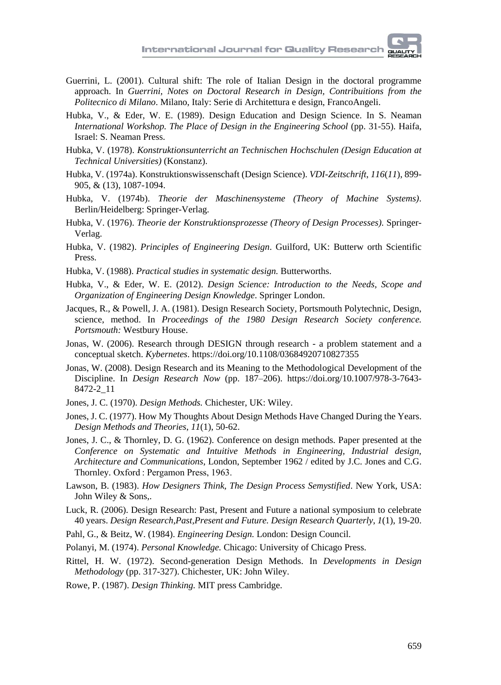- Guerrini, L. (2001). Cultural shift: The role of Italian Design in the doctoral programme approach. In *Guerrini, Notes on Doctoral Research in Design, Contribuitions from the Politecnico di Milano*. Milano, Italy: Serie di Architettura e design, FrancoAngeli.
- Hubka, V., & Eder, W. E. (1989). Design Education and Design Science. In S. Neaman *International Workshop. The Place of Design in the Engineering School* (pp. 31-55). Haifa, Israel: S. Neaman Press.
- Hubka, V. (1978). *Konstruktionsunterricht an Technischen Hochschulen (Design Education at Technical Universities)* (Konstanz).
- Hubka, V. (1974a). Konstruktionswissenschaft (Design Science). *VDI-Zeitschrift*, *116*(*11*), 899- 905, & (13), 1087-1094.
- Hubka, V. (1974b). *Theorie der Maschinensysteme (Theory of Machine Systems)*. Berlin/Heidelberg: Springer-Verlag.
- Hubka, V. (1976). *Theorie der Konstruktionsprozesse (Theory of Design Processes)*. Springer-Verlag.
- Hubka, V. (1982). *Principles of Engineering Design*. Guilford, UK: Butterw orth Scientific Press.
- Hubka, V. (1988). *Practical studies in systematic design.* Butterworths.
- Hubka, V., & Eder, W. E. (2012). *Design Science: Introduction to the Needs, Scope and Organization of Engineering Design Knowledge*. Springer London.
- Jacques, R., & Powell, J. A. (1981). Design Research Society, Portsmouth Polytechnic, Design, science, method. In *Proceedings of the 1980 Design Research Society conference. Portsmouth:* Westbury House.
- Jonas, W. (2006). Research through DESIGN through research a problem statement and a conceptual sketch. *Kybernetes*. https://doi.org/10.1108/03684920710827355
- Jonas, W. (2008). Design Research and its Meaning to the Methodological Development of the Discipline. In *Design Research Now* (pp. 187–206). https://doi.org/10.1007/978-3-7643- 8472-2\_11
- Jones, J. C. (1970). *Design Methods.* Chichester, UK: Wiley.
- Jones, J. C. (1977). How My Thoughts About Design Methods Have Changed During the Years. *Design Methods and Theories*, *11*(1), 50-62.
- Jones, J. C., & Thornley, D. G. (1962). Conference on design methods*.* Paper presented at the *Conference on Systematic and Intuitive Methods in Engineering, Industrial design, Architecture and Communications*, London, September 1962 / edited by J.C. Jones and C.G. Thornley. Oxford : Pergamon Press, 1963.
- Lawson, B. (1983). *How Designers Think, The Design Process Semystified*. New York, USA: John Wiley & Sons,.
- Luck, R. (2006). Design Research: Past, Present and Future a national symposium to celebrate 40 years. *Design Research,Past,Present and Future. Design Research Quarterly*, *1*(1), 19-20.
- Pahl, G., & Beitz, W. (1984). *Engineering Design.* London: Design Council.
- Polanyi, M. (1974). *Personal Knowledge.* Chicago: University of Chicago Press.
- Rittel, H. W. (1972). Second-generation Design Methods. In *Developments in Design Methodology* (pp. 317-327). Chichester, UK: John Wiley.
- Rowe, P. (1987). *Design Thinking.* MIT press Cambridge.